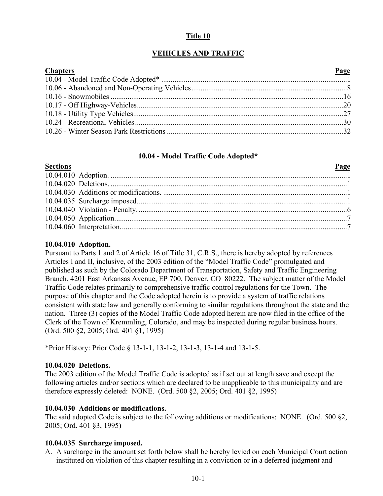# **Title 10**

# **VEHICLES AND TRAFFIC**

| <b>Chapters</b> | Page |
|-----------------|------|
|                 |      |
|                 |      |
|                 |      |
|                 |      |
|                 |      |
|                 |      |
|                 |      |

## **10.04 - Model Traffic Code Adopted\***

# <span id="page-0-0"></span>**Sections Page** 10.04.010 Adoption. ..............................................................................................................................1 10.04.020 Deletions. ..............................................................................................................................1 10.04.030 Additions or modifications. ..................................................................................................1 10.04.035 Surcharge imposed................................................................................................................1 10.04.040 Violation - Penalty. ...............................................................................................................6 10.04.050 Application............................................................................................................................7 10.04.060 Interpretation.........................................................................................................................7

# **10.04.010 Adoption.**

Pursuant to Parts 1 and 2 of Article 16 of Title 31, C.R.S., there is hereby adopted by references Articles I and II, inclusive, of the 2003 edition of the "Model Traffic Code" promulgated and published as such by the Colorado Department of Transportation, Safety and Traffic Engineering Branch, 4201 East Arkansas Avenue, EP 700, Denver, CO 80222. The subject matter of the Model Traffic Code relates primarily to comprehensive traffic control regulations for the Town. The purpose of this chapter and the Code adopted herein is to provide a system of traffic relations consistent with state law and generally conforming to similar regulations throughout the state and the nation. Three (3) copies of the Model Traffic Code adopted herein are now filed in the office of the Clerk of the Town of Kremmling, Colorado, and may be inspected during regular business hours. (Ord. 500 §2, 2005; Ord. 401 §1, 1995)

\*Prior History: Prior Code § 13-1-1, 13-1-2, 13-1-3, 13-1-4 and 13-1-5.

## **10.04.020 Deletions.**

The 2003 edition of the Model Traffic Code is adopted as if set out at length save and except the following articles and/or sections which are declared to be inapplicable to this municipality and are therefore expressly deleted: NONE. (Ord. 500 §2, 2005; Ord. 401 §2, 1995)

## **10.04.030 Additions or modifications.**

The said adopted Code is subject to the following additions or modifications: NONE. (Ord. 500 §2, 2005; Ord. 401 §3, 1995)

## **10.04.035 Surcharge imposed.**

A. A surcharge in the amount set forth below shall be hereby levied on each Municipal Court action instituted on violation of this chapter resulting in a conviction or in a deferred judgment and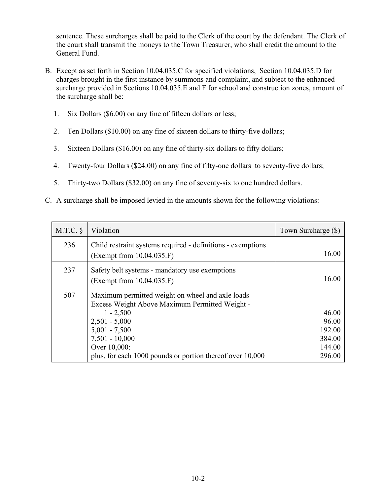sentence. These surcharges shall be paid to the Clerk of the court by the defendant. The Clerk of the court shall transmit the moneys to the Town Treasurer, who shall credit the amount to the General Fund.

- B. Except as set forth in Section 10.04.035.C for specified violations, Section 10.04.035.D for charges brought in the first instance by summons and complaint, and subject to the enhanced surcharge provided in Sections 10.04.035.E and F for school and construction zones, amount of the surcharge shall be:
	- 1. Six Dollars (\$6.00) on any fine of fifteen dollars or less;
	- 2. Ten Dollars (\$10.00) on any fine of sixteen dollars to thirty-five dollars;
	- 3. Sixteen Dollars (\$16.00) on any fine of thirty-six dollars to fifty dollars;
	- 4. Twenty-four Dollars (\$24.00) on any fine of fifty-one dollars to seventy-five dollars;
	- 5. Thirty-two Dollars (\$32.00) on any fine of seventy-six to one hundred dollars.
- C. A surcharge shall be imposed levied in the amounts shown for the following violations:

| M.T.C. | Violation                                                                                                                                                                                                                                                | Town Surcharge (\$)                                    |
|--------|----------------------------------------------------------------------------------------------------------------------------------------------------------------------------------------------------------------------------------------------------------|--------------------------------------------------------|
| 236    | Child restraint systems required - definitions - exemptions<br>(Exempt from 10.04.035.F)                                                                                                                                                                 | 16.00                                                  |
| 237    | Safety belt systems - mandatory use exemptions<br>(Exempt from 10.04.035.F)                                                                                                                                                                              | 16.00                                                  |
| 507    | Maximum permitted weight on wheel and axle loads<br>Excess Weight Above Maximum Permitted Weight -<br>$1 - 2,500$<br>$2,501 - 5,000$<br>$5,001 - 7,500$<br>$7,501 - 10,000$<br>Over 10,000:<br>plus, for each 1000 pounds or portion thereof over 10,000 | 46.00<br>96.00<br>192.00<br>384.00<br>144.00<br>296.00 |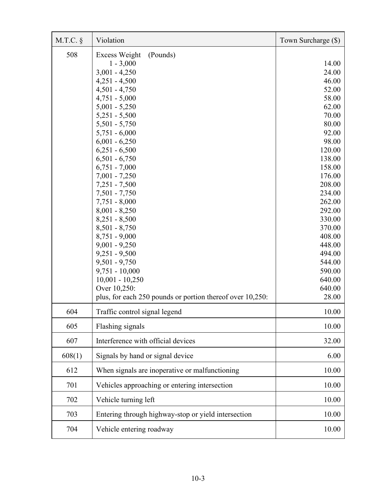| M.T.C. | Violation                                                                                                                                                                                                                                                                                                                                                                                                                                                                                                                                                                                                           | Town Surcharge (\$)                                                                                                                                                                                                                                                       |
|--------|---------------------------------------------------------------------------------------------------------------------------------------------------------------------------------------------------------------------------------------------------------------------------------------------------------------------------------------------------------------------------------------------------------------------------------------------------------------------------------------------------------------------------------------------------------------------------------------------------------------------|---------------------------------------------------------------------------------------------------------------------------------------------------------------------------------------------------------------------------------------------------------------------------|
| 508    | Excess Weight<br>(Pounds)<br>$1 - 3,000$<br>$3,001 - 4,250$<br>$4,251 - 4,500$<br>$4,501 - 4,750$<br>$4,751 - 5,000$<br>$5,001 - 5,250$<br>$5,251 - 5,500$<br>$5,501 - 5,750$<br>$5,751 - 6,000$<br>$6,001 - 6,250$<br>$6,251 - 6,500$<br>$6,501 - 6,750$<br>$6,751 - 7,000$<br>$7,001 - 7,250$<br>$7,251 - 7,500$<br>$7,501 - 7,750$<br>$7,751 - 8,000$<br>$8,001 - 8,250$<br>$8,251 - 8,500$<br>$8,501 - 8,750$<br>$8,751 - 9,000$<br>$9,001 - 9,250$<br>$9,251 - 9,500$<br>$9,501 - 9,750$<br>$9,751 - 10,000$<br>$10,001 - 10,250$<br>Over 10,250:<br>plus, for each 250 pounds or portion thereof over 10,250: | 14.00<br>24.00<br>46.00<br>52.00<br>58.00<br>62.00<br>70.00<br>80.00<br>92.00<br>98.00<br>120.00<br>138.00<br>158.00<br>176.00<br>208.00<br>234.00<br>262.00<br>292.00<br>330.00<br>370.00<br>408.00<br>448.00<br>494.00<br>544.00<br>590.00<br>640.00<br>640.00<br>28.00 |
| 604    | Traffic control signal legend                                                                                                                                                                                                                                                                                                                                                                                                                                                                                                                                                                                       | 10.00                                                                                                                                                                                                                                                                     |
| 605    | Flashing signals                                                                                                                                                                                                                                                                                                                                                                                                                                                                                                                                                                                                    | 10.00                                                                                                                                                                                                                                                                     |
| 607    | Interference with official devices                                                                                                                                                                                                                                                                                                                                                                                                                                                                                                                                                                                  | 32.00                                                                                                                                                                                                                                                                     |
| 608(1) | Signals by hand or signal device                                                                                                                                                                                                                                                                                                                                                                                                                                                                                                                                                                                    | 6.00                                                                                                                                                                                                                                                                      |
| 612    | When signals are inoperative or malfunctioning                                                                                                                                                                                                                                                                                                                                                                                                                                                                                                                                                                      | 10.00                                                                                                                                                                                                                                                                     |
| 701    | Vehicles approaching or entering intersection                                                                                                                                                                                                                                                                                                                                                                                                                                                                                                                                                                       | 10.00                                                                                                                                                                                                                                                                     |
| 702    | Vehicle turning left                                                                                                                                                                                                                                                                                                                                                                                                                                                                                                                                                                                                | 10.00                                                                                                                                                                                                                                                                     |
| 703    | Entering through highway-stop or yield intersection                                                                                                                                                                                                                                                                                                                                                                                                                                                                                                                                                                 | 10.00                                                                                                                                                                                                                                                                     |
| 704    | Vehicle entering roadway                                                                                                                                                                                                                                                                                                                                                                                                                                                                                                                                                                                            | 10.00                                                                                                                                                                                                                                                                     |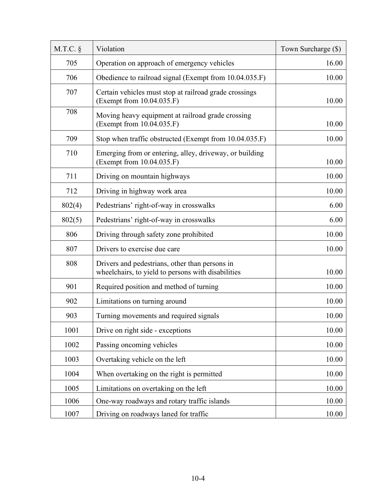| $M.T.C.$ § | Violation                                                                                            | Town Surcharge (\$) |
|------------|------------------------------------------------------------------------------------------------------|---------------------|
| 705        | Operation on approach of emergency vehicles                                                          | 16.00               |
| 706        | Obedience to railroad signal (Exempt from 10.04.035.F)                                               | 10.00               |
| 707        | Certain vehicles must stop at railroad grade crossings<br>(Exempt from 10.04.035.F)                  | 10.00               |
| 708        | Moving heavy equipment at railroad grade crossing<br>(Exempt from 10.04.035.F)                       | 10.00               |
| 709        | Stop when traffic obstructed (Exempt from 10.04.035.F)                                               | 10.00               |
| 710        | Emerging from or entering, alley, driveway, or building<br>(Exempt from 10.04.035.F)                 | 10.00               |
| 711        | Driving on mountain highways                                                                         | 10.00               |
| 712        | Driving in highway work area                                                                         | 10.00               |
| 802(4)     | Pedestrians' right-of-way in crosswalks                                                              | 6.00                |
| 802(5)     | Pedestrians' right-of-way in crosswalks                                                              | 6.00                |
| 806        | Driving through safety zone prohibited                                                               | 10.00               |
| 807        | Drivers to exercise due care                                                                         | 10.00               |
| 808        | Drivers and pedestrians, other than persons in<br>wheelchairs, to yield to persons with disabilities | 10.00               |
| 901        | Required position and method of turning                                                              | 10.00               |
| 902        | Limitations on turning around                                                                        | 10.00               |
| 903        | Turning movements and required signals                                                               | 10.00               |
| 1001       | Drive on right side - exceptions                                                                     | 10.00               |
| 1002       | Passing oncoming vehicles                                                                            | 10.00               |
| 1003       | Overtaking vehicle on the left                                                                       | 10.00               |
| 1004       | When overtaking on the right is permitted                                                            | 10.00               |
| 1005       | Limitations on overtaking on the left                                                                | 10.00               |
| 1006       | One-way roadways and rotary traffic islands                                                          | 10.00               |
| 1007       | Driving on roadways laned for traffic                                                                | 10.00               |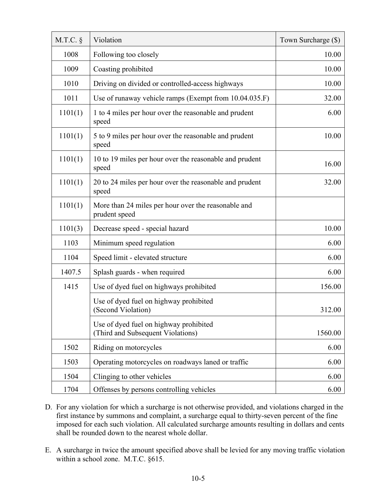| $M.T.C.$ § | Violation                                                                   | Town Surcharge (\$) |
|------------|-----------------------------------------------------------------------------|---------------------|
| 1008       | Following too closely                                                       | 10.00               |
| 1009       | Coasting prohibited                                                         | 10.00               |
| 1010       | Driving on divided or controlled-access highways                            | 10.00               |
| 1011       | Use of runaway vehicle ramps (Exempt from 10.04.035.F)                      | 32.00               |
| 1101(1)    | 1 to 4 miles per hour over the reasonable and prudent<br>speed              | 6.00                |
| 1101(1)    | 5 to 9 miles per hour over the reasonable and prudent<br>speed              | 10.00               |
| 1101(1)    | 10 to 19 miles per hour over the reasonable and prudent<br>speed            | 16.00               |
| 1101(1)    | 20 to 24 miles per hour over the reasonable and prudent<br>speed            | 32.00               |
| 1101(1)    | More than 24 miles per hour over the reasonable and<br>prudent speed        |                     |
| 1101(3)    | Decrease speed - special hazard                                             | 10.00               |
| 1103       | Minimum speed regulation                                                    | 6.00                |
| 1104       | Speed limit - elevated structure                                            | 6.00                |
| 1407.5     | Splash guards - when required                                               | 6.00                |
| 1415       | Use of dyed fuel on highways prohibited                                     | 156.00              |
|            | Use of dyed fuel on highway prohibited<br>(Second Violation)                | 312.00              |
|            | Use of dyed fuel on highway prohibited<br>(Third and Subsequent Violations) | 1560.00             |
| 1502       | Riding on motorcycles                                                       | 6.00                |
| 1503       | Operating motorcycles on roadways laned or traffic                          | 6.00                |
| 1504       | Clinging to other vehicles                                                  | 6.00                |
| 1704       | Offenses by persons controlling vehicles                                    | 6.00                |

- D. For any violation for which a surcharge is not otherwise provided, and violations charged in the first instance by summons and complaint, a surcharge equal to thirty-seven percent of the fine imposed for each such violation. All calculated surcharge amounts resulting in dollars and cents shall be rounded down to the nearest whole dollar.
- E. A surcharge in twice the amount specified above shall be levied for any moving traffic violation within a school zone. M.T.C. §615.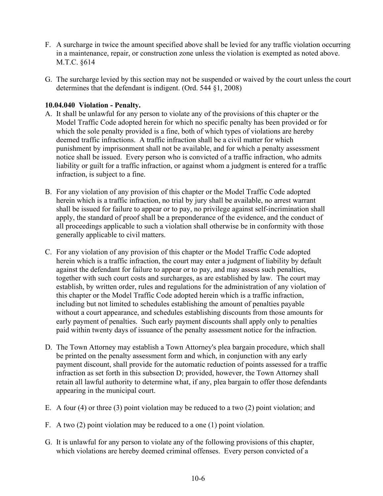- F. A surcharge in twice the amount specified above shall be levied for any traffic violation occurring in a maintenance, repair, or construction zone unless the violation is exempted as noted above. M.T.C. §614
- G. The surcharge levied by this section may not be suspended or waived by the court unless the court determines that the defendant is indigent. (Ord. 544 §1, 2008)

# **10.04.040 Violation - Penalty.**

- A. It shall be unlawful for any person to violate any of the provisions of this chapter or the Model Traffic Code adopted herein for which no specific penalty has been provided or for which the sole penalty provided is a fine, both of which types of violations are hereby deemed traffic infractions. A traffic infraction shall be a civil matter for which punishment by imprisonment shall not be available, and for which a penalty assessment notice shall be issued. Every person who is convicted of a traffic infraction, who admits liability or guilt for a traffic infraction, or against whom a judgment is entered for a traffic infraction, is subject to a fine.
- B. For any violation of any provision of this chapter or the Model Traffic Code adopted herein which is a traffic infraction, no trial by jury shall be available, no arrest warrant shall be issued for failure to appear or to pay, no privilege against self-incrimination shall apply, the standard of proof shall be a preponderance of the evidence, and the conduct of all proceedings applicable to such a violation shall otherwise be in conformity with those generally applicable to civil matters.
- C. For any violation of any provision of this chapter or the Model Traffic Code adopted herein which is a traffic infraction, the court may enter a judgment of liability by default against the defendant for failure to appear or to pay, and may assess such penalties, together with such court costs and surcharges, as are established by law. The court may establish, by written order, rules and regulations for the administration of any violation of this chapter or the Model Traffic Code adopted herein which is a traffic infraction, including but not limited to schedules establishing the amount of penalties payable without a court appearance, and schedules establishing discounts from those amounts for early payment of penalties. Such early payment discounts shall apply only to penalties paid within twenty days of issuance of the penalty assessment notice for the infraction.
- D. The Town Attorney may establish a Town Attorney's plea bargain procedure, which shall be printed on the penalty assessment form and which, in conjunction with any early payment discount, shall provide for the automatic reduction of points assessed for a traffic infraction as set forth in this subsection D; provided, however, the Town Attorney shall retain all lawful authority to determine what, if any, plea bargain to offer those defendants appearing in the municipal court.
- E. A four (4) or three (3) point violation may be reduced to a two (2) point violation; and
- F. A two (2) point violation may be reduced to a one (1) point violation.
- G. It is unlawful for any person to violate any of the following provisions of this chapter, which violations are hereby deemed criminal offenses. Every person convicted of a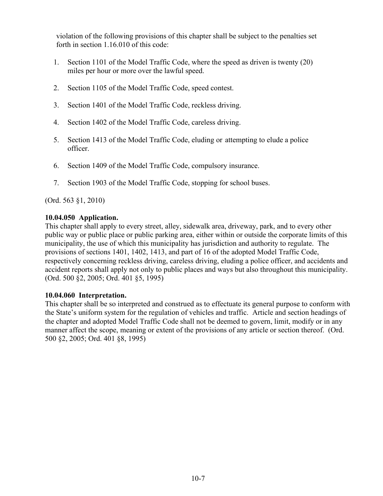violation of the following provisions of this chapter shall be subject to the penalties set forth in section 1.16.010 of this code:

- 1. Section 1101 of the Model Traffic Code, where the speed as driven is twenty (20) miles per hour or more over the lawful speed.
- 2. Section 1105 of the Model Traffic Code, speed contest.
- 3. Section 1401 of the Model Traffic Code, reckless driving.
- 4. Section 1402 of the Model Traffic Code, careless driving.
- 5. Section 1413 of the Model Traffic Code, eluding or attempting to elude a police officer.
- 6. Section 1409 of the Model Traffic Code, compulsory insurance.
- 7. Section 1903 of the Model Traffic Code, stopping for school buses.

(Ord. 563 §1, 2010)

## **10.04.050 Application.**

This chapter shall apply to every street, alley, sidewalk area, driveway, park, and to every other public way or public place or public parking area, either within or outside the corporate limits of this municipality, the use of which this municipality has jurisdiction and authority to regulate. The provisions of sections 1401, 1402, 1413, and part of 16 of the adopted Model Traffic Code, respectively concerning reckless driving, careless driving, eluding a police officer, and accidents and accident reports shall apply not only to public places and ways but also throughout this municipality. (Ord. 500 §2, 2005; Ord. 401 §5, 1995)

## **10.04.060 Interpretation.**

This chapter shall be so interpreted and construed as to effectuate its general purpose to conform with the State's uniform system for the regulation of vehicles and traffic. Article and section headings of the chapter and adopted Model Traffic Code shall not be deemed to govern, limit, modify or in any manner affect the scope, meaning or extent of the provisions of any article or section thereof. (Ord. 500 §2, 2005; Ord. 401 §8, 1995)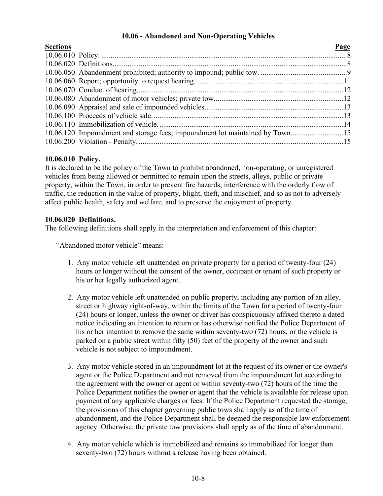# **10.06 - Abandoned and Non-Operating Vehicles**

<span id="page-7-0"></span>

| <b>Sections</b> |                                                                              | Page |
|-----------------|------------------------------------------------------------------------------|------|
|                 |                                                                              |      |
|                 |                                                                              |      |
|                 |                                                                              |      |
|                 |                                                                              |      |
|                 |                                                                              |      |
|                 |                                                                              |      |
|                 |                                                                              |      |
|                 |                                                                              |      |
|                 |                                                                              |      |
|                 | 10.06.120 Impoundment and storage fees; impoundment lot maintained by Town15 |      |
|                 |                                                                              |      |

# **10.06.010 Policy.**

It is declared to be the policy of the Town to prohibit abandoned, non-operating, or unregistered vehicles from being allowed or permitted to remain upon the streets, alleys, public or private property, within the Town, in order to prevent fire hazards, interference with the orderly flow of traffic, the reduction in the value of property, blight, theft, and mischief, and so as not to adversely affect public health, safety and welfare, and to preserve the enjoyment of property.

# **10.06.020 Definitions.**

The following definitions shall apply in the interpretation and enforcement of this chapter:

"Abandoned motor vehicle" means:

- 1. Any motor vehicle left unattended on private property for a period of twenty-four (24) hours or longer without the consent of the owner, occupant or tenant of such property or his or her legally authorized agent.
- 2. Any motor vehicle left unattended on public property, including any portion of an alley, street or highway right-of-way, within the limits of the Town for a period of twenty-four (24) hours or longer, unless the owner or driver has conspicuously affixed thereto a dated notice indicating an intention to return or has otherwise notified the Police Department of his or her intention to remove the same within seventy-two (72) hours, or the vehicle is parked on a public street within fifty (50) feet of the property of the owner and such vehicle is not subject to impoundment.
- 3. Any motor vehicle stored in an impoundment lot at the request of its owner or the owner's agent or the Police Department and not removed from the impoundment lot according to the agreement with the owner or agent or within seventy-two (72) hours of the time the Police Department notifies the owner or agent that the vehicle is available for release upon payment of any applicable charges or fees. If the Police Department requested the storage, the provisions of this chapter governing public tows shall apply as of the time of abandonment, and the Police Department shall be deemed the responsible law enforcement agency. Otherwise, the private tow provisions shall apply as of the time of abandonment.
- 4. Any motor vehicle which is immobilized and remains so immobilized for longer than seventy-two (72) hours without a release having been obtained.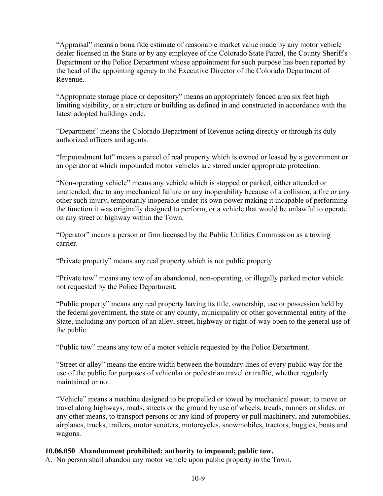"Appraisal" means a bona fide estimate of reasonable market value made by any motor vehicle dealer licensed in the State or by any employee of the Colorado State Patrol, the County Sheriff's Department or the Police Department whose appointment for such purpose has been reported by the head of the appointing agency to the Executive Director of the Colorado Department of Revenue.

"Appropriate storage place or depository" means an appropriately fenced area six feet high limiting visibility, or a structure or building as defined in and constructed in accordance with the latest adopted buildings code.

"Department" means the Colorado Department of Revenue acting directly or through its duly authorized officers and agents.

"Impoundment lot" means a parcel of real property which is owned or leased by a government or an operator at which impounded motor vehicles are stored under appropriate protection.

"Non-operating vehicle" means any vehicle which is stopped or parked, either attended or unattended, due to any mechanical failure or any inoperability because of a collision, a fire or any other such injury, temporarily inoperable under its own power making it incapable of performing the function it was originally designed to perform, or a vehicle that would be unlawful to operate on any street or highway within the Town.

"Operator" means a person or firm licensed by the Public Utilities Commission as a towing carrier.

"Private property" means any real property which is not public property.

"Private tow" means any tow of an abandoned, non-operating, or illegally parked motor vehicle not requested by the Police Department.

"Public property" means any real property having its title, ownership, use or possession held by the federal government, the state or any county, municipality or other governmental entity of the State, including any portion of an alley, street, highway or right-of-way open to the general use of the public.

"Public tow" means any tow of a motor vehicle requested by the Police Department.

"Street or alley" means the entire width between the boundary lines of every public way for the use of the public for purposes of vehicular or pedestrian travel or traffic, whether regularly maintained or not.

"Vehicle" means a machine designed to be propelled or towed by mechanical power, to move or travel along highways, roads, streets or the ground by use of wheels, treads, runners or slides, or any other means, to transport persons or any kind of property or pull machinery, and automobiles, airplanes, trucks, trailers, motor scooters, motorcycles, snowmobiles, tractors, buggies, boats and wagons.

# **10.06.050 Abandonment prohibited; authority to impound; public tow.**

A. No person shall abandon any motor vehicle upon public property in the Town.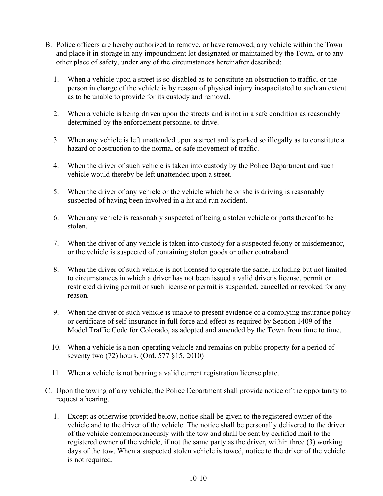- B. Police officers are hereby authorized to remove, or have removed, any vehicle within the Town and place it in storage in any impoundment lot designated or maintained by the Town, or to any other place of safety, under any of the circumstances hereinafter described:
	- 1. When a vehicle upon a street is so disabled as to constitute an obstruction to traffic, or the person in charge of the vehicle is by reason of physical injury incapacitated to such an extent as to be unable to provide for its custody and removal.
	- 2. When a vehicle is being driven upon the streets and is not in a safe condition as reasonably determined by the enforcement personnel to drive.
	- 3. When any vehicle is left unattended upon a street and is parked so illegally as to constitute a hazard or obstruction to the normal or safe movement of traffic.
	- 4. When the driver of such vehicle is taken into custody by the Police Department and such vehicle would thereby be left unattended upon a street.
	- 5. When the driver of any vehicle or the vehicle which he or she is driving is reasonably suspected of having been involved in a hit and run accident.
	- 6. When any vehicle is reasonably suspected of being a stolen vehicle or parts thereof to be stolen.
	- 7. When the driver of any vehicle is taken into custody for a suspected felony or misdemeanor, or the vehicle is suspected of containing stolen goods or other contraband.
	- 8. When the driver of such vehicle is not licensed to operate the same, including but not limited to circumstances in which a driver has not been issued a valid driver's license, permit or restricted driving permit or such license or permit is suspended, cancelled or revoked for any reason.
	- 9. When the driver of such vehicle is unable to present evidence of a complying insurance policy or certificate of self-insurance in full force and effect as required by Section 1409 of the Model Traffic Code for Colorado, as adopted and amended by the Town from time to time.
	- 10. When a vehicle is a non-operating vehicle and remains on public property for a period of seventy two (72) hours. (Ord. 577 §15, 2010)
	- 11. When a vehicle is not bearing a valid current registration license plate.
- C. Upon the towing of any vehicle, the Police Department shall provide notice of the opportunity to request a hearing.
	- 1. Except as otherwise provided below, notice shall be given to the registered owner of the vehicle and to the driver of the vehicle. The notice shall be personally delivered to the driver of the vehicle contemporaneously with the tow and shall be sent by certified mail to the registered owner of the vehicle, if not the same party as the driver, within three (3) working days of the tow. When a suspected stolen vehicle is towed, notice to the driver of the vehicle is not required.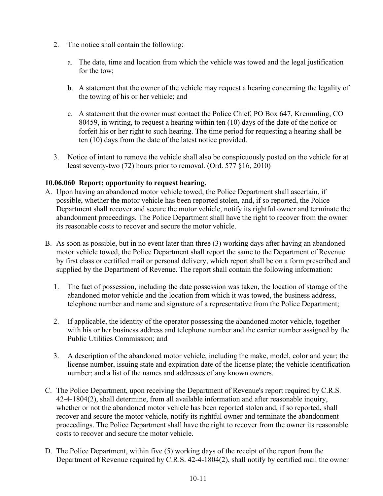- 2. The notice shall contain the following:
	- a. The date, time and location from which the vehicle was towed and the legal justification for the tow;
	- b. A statement that the owner of the vehicle may request a hearing concerning the legality of the towing of his or her vehicle; and
	- c. A statement that the owner must contact the Police Chief, PO Box 647, Kremmling, CO 80459, in writing, to request a hearing within ten (10) days of the date of the notice or forfeit his or her right to such hearing. The time period for requesting a hearing shall be ten (10) days from the date of the latest notice provided.
- 3. Notice of intent to remove the vehicle shall also be conspicuously posted on the vehicle for at least seventy-two (72) hours prior to removal. (Ord. 577 §16, 2010)

# **10.06.060 Report; opportunity to request hearing.**

- A. Upon having an abandoned motor vehicle towed, the Police Department shall ascertain, if possible, whether the motor vehicle has been reported stolen, and, if so reported, the Police Department shall recover and secure the motor vehicle, notify its rightful owner and terminate the abandonment proceedings. The Police Department shall have the right to recover from the owner its reasonable costs to recover and secure the motor vehicle.
- B. As soon as possible, but in no event later than three (3) working days after having an abandoned motor vehicle towed, the Police Department shall report the same to the Department of Revenue by first class or certified mail or personal delivery, which report shall be on a form prescribed and supplied by the Department of Revenue. The report shall contain the following information:
	- 1. The fact of possession, including the date possession was taken, the location of storage of the abandoned motor vehicle and the location from which it was towed, the business address, telephone number and name and signature of a representative from the Police Department;
	- 2. If applicable, the identity of the operator possessing the abandoned motor vehicle, together with his or her business address and telephone number and the carrier number assigned by the Public Utilities Commission; and
	- 3. A description of the abandoned motor vehicle, including the make, model, color and year; the license number, issuing state and expiration date of the license plate; the vehicle identification number; and a list of the names and addresses of any known owners.
- C. The Police Department, upon receiving the Department of Revenue's report required by C.R.S. 42-4-1804(2), shall determine, from all available information and after reasonable inquiry, whether or not the abandoned motor vehicle has been reported stolen and, if so reported, shall recover and secure the motor vehicle, notify its rightful owner and terminate the abandonment proceedings. The Police Department shall have the right to recover from the owner its reasonable costs to recover and secure the motor vehicle.
- D. The Police Department, within five (5) working days of the receipt of the report from the Department of Revenue required by C.R.S. 42-4-1804(2), shall notify by certified mail the owner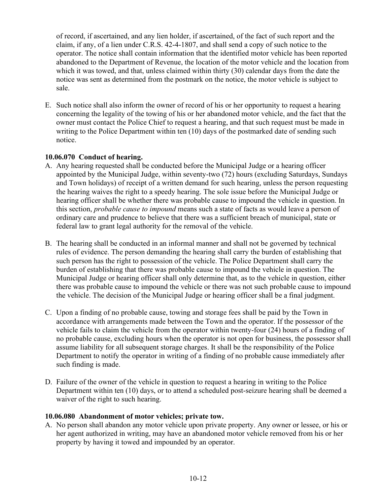of record, if ascertained, and any lien holder, if ascertained, of the fact of such report and the claim, if any, of a lien under C.R.S. 42-4-1807, and shall send a copy of such notice to the operator. The notice shall contain information that the identified motor vehicle has been reported abandoned to the Department of Revenue, the location of the motor vehicle and the location from which it was towed, and that, unless claimed within thirty (30) calendar days from the date the notice was sent as determined from the postmark on the notice, the motor vehicle is subject to sale.

E. Such notice shall also inform the owner of record of his or her opportunity to request a hearing concerning the legality of the towing of his or her abandoned motor vehicle, and the fact that the owner must contact the Police Chief to request a hearing, and that such request must be made in writing to the Police Department within ten (10) days of the postmarked date of sending such notice.

# **10.06.070 Conduct of hearing.**

- A. Any hearing requested shall be conducted before the Municipal Judge or a hearing officer appointed by the Municipal Judge, within seventy-two (72) hours (excluding Saturdays, Sundays and Town holidays) of receipt of a written demand for such hearing, unless the person requesting the hearing waives the right to a speedy hearing. The sole issue before the Municipal Judge or hearing officer shall be whether there was probable cause to impound the vehicle in question. In this section, *probable cause to impound* means such a state of facts as would leave a person of ordinary care and prudence to believe that there was a sufficient breach of municipal, state or federal law to grant legal authority for the removal of the vehicle.
- B. The hearing shall be conducted in an informal manner and shall not be governed by technical rules of evidence. The person demanding the hearing shall carry the burden of establishing that such person has the right to possession of the vehicle. The Police Department shall carry the burden of establishing that there was probable cause to impound the vehicle in question. The Municipal Judge or hearing officer shall only determine that, as to the vehicle in question, either there was probable cause to impound the vehicle or there was not such probable cause to impound the vehicle. The decision of the Municipal Judge or hearing officer shall be a final judgment.
- C. Upon a finding of no probable cause, towing and storage fees shall be paid by the Town in accordance with arrangements made between the Town and the operator. If the possessor of the vehicle fails to claim the vehicle from the operator within twenty-four (24) hours of a finding of no probable cause, excluding hours when the operator is not open for business, the possessor shall assume liability for all subsequent storage charges. It shall be the responsibility of the Police Department to notify the operator in writing of a finding of no probable cause immediately after such finding is made.
- D. Failure of the owner of the vehicle in question to request a hearing in writing to the Police Department within ten (10) days, or to attend a scheduled post-seizure hearing shall be deemed a waiver of the right to such hearing.

# **10.06.080 Abandonment of motor vehicles; private tow.**

A. No person shall abandon any motor vehicle upon private property. Any owner or lessee, or his or her agent authorized in writing, may have an abandoned motor vehicle removed from his or her property by having it towed and impounded by an operator.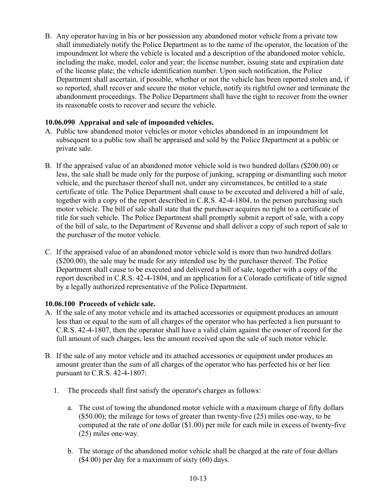B. Any operator having in his or her possession any abandoned motor vehicle from a private tow shall immediately notify the Police Department as to the name of the operator, the location of the impoundment lot where the vehicle is located and a description of the abandoned motor vehicle, including the make, model, color and year; the license number, issuing state and expiration date of the license plate; the vehicle identification number. Upon such notification, the Police Department shall ascertain, if possible, whether or not the vehicle has been reported stolen and, if so reported, shall recover and secure the motor vehicle, notify its rightful owner and terminate the abandonment proceedings. The Police Department shall have the right to recover from the owner its reasonable costs to recover and secure the vehicle.

## **10.06.090 Appraisal and sale of impounded vehicles.**

- A. Public tow abandoned motor vehicles or motor vehicles abandoned in an impoundment lot subsequent to a public tow shall be appraised and sold by the Police Department at a public or private sale.
- B. If the appraised value of an abandoned motor vehicle sold is two hundred dollars (\$200.00) or less, the sale shall be made only for the purpose of junking, scrapping or dismantling such motor vehicle, and the purchaser thereof shall not, under any circumstances, be entitled to a state certificate of title. The Police Department shall cause to be executed and delivered a bill of sale, together with a copy of the report described in C.R.S. 42-4-1804, to the person purchasing such motor vehicle. The bill of sale shall state that the purchaser acquires no right to a certificate of title for such vehicle. The Police Department shall promptly submit a report of sale, with a copy of the bill of sale, to the Department of Revenue and shall deliver a copy of such report of sale to the purchaser of the motor vehicle.
- C. If the appraised value of an abandoned motor vehicle sold is more than two hundred dollars (\$200.00), the sale may be made for any intended use by the purchaser thereof. The Police Department shall cause to be executed and delivered a bill of sale, together with a copy of the report described in C.R.S. 42-4-1804, and an application for a Colorado certificate of title signed by a legally authorized representative of the Police Department.

# **10.06.100 Proceeds of vehicle sale.**

- A. If the sale of any motor vehicle and its attached accessories or equipment produces an amount less than or equal to the sum of all charges of the operator who has perfected a lien pursuant to C.R.S. 42-4-1807, then the operator shall have a valid claim against the owner of record for the full amount of such charges, less the amount received upon the sale of such motor vehicle.
- B. If the sale of any motor vehicle and its attached accessories or equipment under produces an amount greater than the sum of all charges of the operator who has perfected his or her lien pursuant to C.R.S. 42-4-1807:
	- 1. The proceeds shall first satisfy the operator's charges as follows:
		- a. The cost of towing the abandoned motor vehicle with a maximum charge of fifty dollars (\$50.00); the mileage for tows of greater than twenty-five (25) miles one-way, to be computed at the rate of one dollar (\$1.00) per mile for each mile in excess of twenty-five (25) miles one-way.
		- b. The storage of the abandoned motor vehicle shall be charged at the rate of four dollars (\$4.00) per day for a maximum of sixty (60) days.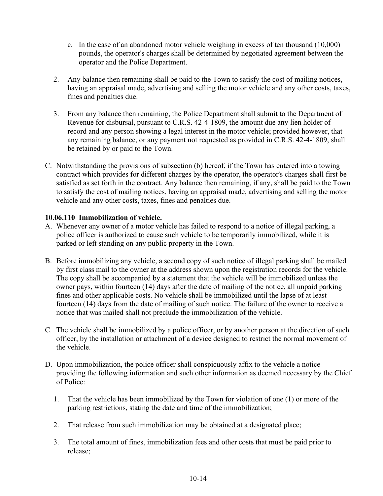- c. In the case of an abandoned motor vehicle weighing in excess of ten thousand (10,000) pounds, the operator's charges shall be determined by negotiated agreement between the operator and the Police Department.
- 2. Any balance then remaining shall be paid to the Town to satisfy the cost of mailing notices, having an appraisal made, advertising and selling the motor vehicle and any other costs, taxes, fines and penalties due.
- 3. From any balance then remaining, the Police Department shall submit to the Department of Revenue for disbursal, pursuant to C.R.S. 42-4-1809, the amount due any lien holder of record and any person showing a legal interest in the motor vehicle; provided however, that any remaining balance, or any payment not requested as provided in C.R.S. 42-4-1809, shall be retained by or paid to the Town.
- C. Notwithstanding the provisions of subsection (b) hereof, if the Town has entered into a towing contract which provides for different charges by the operator, the operator's charges shall first be satisfied as set forth in the contract. Any balance then remaining, if any, shall be paid to the Town to satisfy the cost of mailing notices, having an appraisal made, advertising and selling the motor vehicle and any other costs, taxes, fines and penalties due.

# **10.06.110 Immobilization of vehicle.**

- A. Whenever any owner of a motor vehicle has failed to respond to a notice of illegal parking, a police officer is authorized to cause such vehicle to be temporarily immobilized, while it is parked or left standing on any public property in the Town.
- B. Before immobilizing any vehicle, a second copy of such notice of illegal parking shall be mailed by first class mail to the owner at the address shown upon the registration records for the vehicle. The copy shall be accompanied by a statement that the vehicle will be immobilized unless the owner pays, within fourteen (14) days after the date of mailing of the notice, all unpaid parking fines and other applicable costs. No vehicle shall be immobilized until the lapse of at least fourteen (14) days from the date of mailing of such notice. The failure of the owner to receive a notice that was mailed shall not preclude the immobilization of the vehicle.
- C. The vehicle shall be immobilized by a police officer, or by another person at the direction of such officer, by the installation or attachment of a device designed to restrict the normal movement of the vehicle.
- D. Upon immobilization, the police officer shall conspicuously affix to the vehicle a notice providing the following information and such other information as deemed necessary by the Chief of Police:
	- 1. That the vehicle has been immobilized by the Town for violation of one (1) or more of the parking restrictions, stating the date and time of the immobilization;
	- 2. That release from such immobilization may be obtained at a designated place;
	- 3. The total amount of fines, immobilization fees and other costs that must be paid prior to release;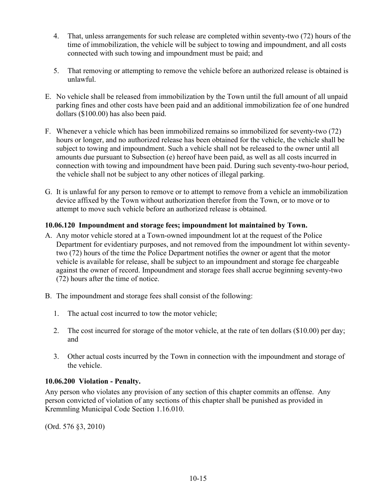- 4. That, unless arrangements for such release are completed within seventy-two (72) hours of the time of immobilization, the vehicle will be subject to towing and impoundment, and all costs connected with such towing and impoundment must be paid; and
- 5. That removing or attempting to remove the vehicle before an authorized release is obtained is unlawful.
- E. No vehicle shall be released from immobilization by the Town until the full amount of all unpaid parking fines and other costs have been paid and an additional immobilization fee of one hundred dollars (\$100.00) has also been paid.
- F. Whenever a vehicle which has been immobilized remains so immobilized for seventy-two (72) hours or longer, and no authorized release has been obtained for the vehicle, the vehicle shall be subject to towing and impoundment. Such a vehicle shall not be released to the owner until all amounts due pursuant to Subsection (e) hereof have been paid, as well as all costs incurred in connection with towing and impoundment have been paid. During such seventy-two-hour period, the vehicle shall not be subject to any other notices of illegal parking.
- G. It is unlawful for any person to remove or to attempt to remove from a vehicle an immobilization device affixed by the Town without authorization therefor from the Town, or to move or to attempt to move such vehicle before an authorized release is obtained.

# **10.06.120 Impoundment and storage fees; impoundment lot maintained by Town.**

- A. Any motor vehicle stored at a Town-owned impoundment lot at the request of the Police Department for evidentiary purposes, and not removed from the impoundment lot within seventytwo (72) hours of the time the Police Department notifies the owner or agent that the motor vehicle is available for release, shall be subject to an impoundment and storage fee chargeable against the owner of record. Impoundment and storage fees shall accrue beginning seventy-two (72) hours after the time of notice.
- B. The impoundment and storage fees shall consist of the following:
	- 1. The actual cost incurred to tow the motor vehicle;
	- 2. The cost incurred for storage of the motor vehicle, at the rate of ten dollars (\$10.00) per day; and
	- 3. Other actual costs incurred by the Town in connection with the impoundment and storage of the vehicle.

# **10.06.200 Violation - Penalty.**

Any person who violates any provision of any section of this chapter commits an offense. Any person convicted of violation of any sections of this chapter shall be punished as provided in Kremmling Municipal Code Section 1.16.010.

(Ord. 576 §3, 2010)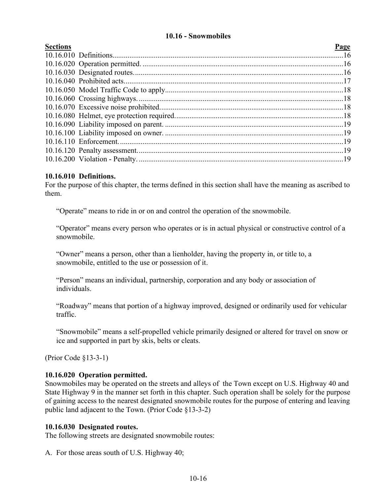# **10.16 - Snowmobiles**

<span id="page-15-0"></span>

| <b>Sections</b> |  |
|-----------------|--|
|                 |  |

| Page |
|------|
|      |
|      |
|      |
|      |
|      |
|      |
|      |
|      |
|      |
|      |
|      |
|      |
|      |
|      |

## **10.16.010 Definitions.**

For the purpose of this chapter, the terms defined in this section shall have the meaning as ascribed to them.

"Operate" means to ride in or on and control the operation of the snowmobile.

"Operator" means every person who operates or is in actual physical or constructive control of a snowmobile.

"Owner" means a person, other than a lienholder, having the property in, or title to, a snowmobile, entitled to the use or possession of it.

"Person" means an individual, partnership, corporation and any body or association of individuals.

"Roadway" means that portion of a highway improved, designed or ordinarily used for vehicular traffic.

"Snowmobile" means a self-propelled vehicle primarily designed or altered for travel on snow or ice and supported in part by skis, belts or cleats.

(Prior Code §13-3-1)

## **10.16.020 Operation permitted.**

Snowmobiles may be operated on the streets and alleys of the Town except on U.S. Highway 40 and State Highway 9 in the manner set forth in this chapter. Such operation shall be solely for the purpose of gaining access to the nearest designated snowmobile routes for the purpose of entering and leaving public land adjacent to the Town. (Prior Code §13-3-2)

## **10.16.030 Designated routes.**

The following streets are designated snowmobile routes:

A. For those areas south of U.S. Highway 40;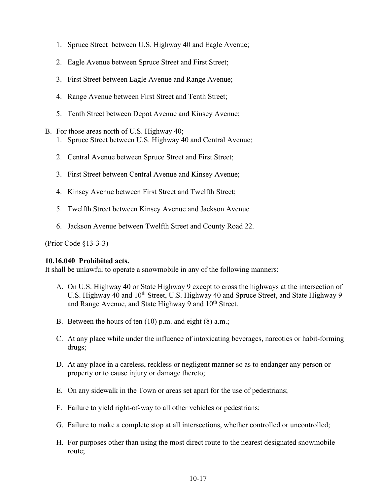- 1. Spruce Street between U.S. Highway 40 and Eagle Avenue;
- 2. Eagle Avenue between Spruce Street and First Street;
- 3. First Street between Eagle Avenue and Range Avenue;
- 4. Range Avenue between First Street and Tenth Street;
- 5. Tenth Street between Depot Avenue and Kinsey Avenue;
- B. For those areas north of U.S. Highway 40;
	- 1. Spruce Street between U.S. Highway 40 and Central Avenue;
	- 2. Central Avenue between Spruce Street and First Street;
	- 3. First Street between Central Avenue and Kinsey Avenue;
	- 4. Kinsey Avenue between First Street and Twelfth Street;
	- 5. Twelfth Street between Kinsey Avenue and Jackson Avenue
	- 6. Jackson Avenue between Twelfth Street and County Road 22.

(Prior Code §13-3-3)

#### **10.16.040 Prohibited acts.**

It shall be unlawful to operate a snowmobile in any of the following manners:

- A. On U.S. Highway 40 or State Highway 9 except to cross the highways at the intersection of U.S. Highway 40 and 10<sup>th</sup> Street, U.S. Highway 40 and Spruce Street, and State Highway 9 and Range Avenue, and State Highway 9 and 10<sup>th</sup> Street.
- B. Between the hours of ten (10) p.m. and eight (8) a.m.;
- C. At any place while under the influence of intoxicating beverages, narcotics or habit-forming drugs;
- D. At any place in a careless, reckless or negligent manner so as to endanger any person or property or to cause injury or damage thereto;
- E. On any sidewalk in the Town or areas set apart for the use of pedestrians;
- F. Failure to yield right-of-way to all other vehicles or pedestrians;
- G. Failure to make a complete stop at all intersections, whether controlled or uncontrolled;
- H. For purposes other than using the most direct route to the nearest designated snowmobile route;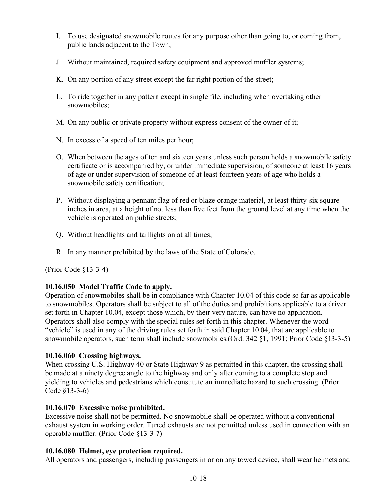- I. To use designated snowmobile routes for any purpose other than going to, or coming from, public lands adjacent to the Town;
- J. Without maintained, required safety equipment and approved muffler systems;
- K. On any portion of any street except the far right portion of the street;
- L. To ride together in any pattern except in single file, including when overtaking other snowmobiles;
- M. On any public or private property without express consent of the owner of it;
- N. In excess of a speed of ten miles per hour;
- O. When between the ages of ten and sixteen years unless such person holds a snowmobile safety certificate or is accompanied by, or under immediate supervision, of someone at least 16 years of age or under supervision of someone of at least fourteen years of age who holds a snowmobile safety certification;
- P. Without displaying a pennant flag of red or blaze orange material, at least thirty-six square inches in area, at a height of not less than five feet from the ground level at any time when the vehicle is operated on public streets;
- Q. Without headlights and taillights on at all times;
- R. In any manner prohibited by the laws of the State of Colorado.

(Prior Code §13-3-4)

# **10.16.050 Model Traffic Code to apply.**

Operation of snowmobiles shall be in compliance with Chapter 10.04 of this code so far as applicable to snowmobiles. Operators shall be subject to all of the duties and prohibitions applicable to a driver set forth in Chapter 10.04, except those which, by their very nature, can have no application. Operators shall also comply with the special rules set forth in this chapter. Whenever the word "vehicle" is used in any of the driving rules set forth in said Chapter 10.04, that are applicable to snowmobile operators, such term shall include snowmobiles.(Ord. 342 §1, 1991; Prior Code §13-3-5)

## **10.16.060 Crossing highways.**

When crossing U.S. Highway 40 or State Highway 9 as permitted in this chapter, the crossing shall be made at a ninety degree angle to the highway and only after coming to a complete stop and yielding to vehicles and pedestrians which constitute an immediate hazard to such crossing. (Prior Code §13-3-6)

## **10.16.070 Excessive noise prohibited.**

Excessive noise shall not be permitted. No snowmobile shall be operated without a conventional exhaust system in working order. Tuned exhausts are not permitted unless used in connection with an operable muffler. (Prior Code §13-3-7)

## **10.16.080 Helmet, eye protection required.**

All operators and passengers, including passengers in or on any towed device, shall wear helmets and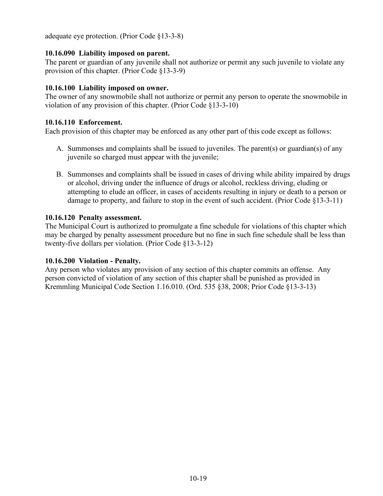adequate eye protection. (Prior Code §13-3-8)

# **10.16.090 Liability imposed on parent.**

The parent or guardian of any juvenile shall not authorize or permit any such juvenile to violate any provision of this chapter. (Prior Code §13-3-9)

# **10.16.100 Liability imposed on owner.**

The owner of any snowmobile shall not authorize or permit any person to operate the snowmobile in violation of any provision of this chapter. (Prior Code §13-3-10)

# **10.16.110 Enforcement.**

Each provision of this chapter may be enforced as any other part of this code except as follows:

- A. Summonses and complaints shall be issued to juveniles. The parent(s) or guardian(s) of any juvenile so charged must appear with the juvenile;
- B. Summonses and complaints shall be issued in cases of driving while ability impaired by drugs or alcohol, driving under the influence of drugs or alcohol, reckless driving, eluding or attempting to elude an officer, in cases of accidents resulting in injury or death to a person or damage to property, and failure to stop in the event of such accident. (Prior Code §13-3-11)

## **10.16.120 Penalty assessment.**

The Municipal Court is authorized to promulgate a fine schedule for violations of this chapter which may be charged by penalty assessment procedure but no fine in such fine schedule shall be less than twenty-five dollars per violation. (Prior Code §13-3-12)

# **10.16.200 Violation - Penalty.**

Any person who violates any provision of any section of this chapter commits an offense. Any person convicted of violation of any section of this chapter shall be punished as provided in Kremmling Municipal Code Section 1.16.010. (Ord. 535 §38, 2008; Prior Code §13-3-13)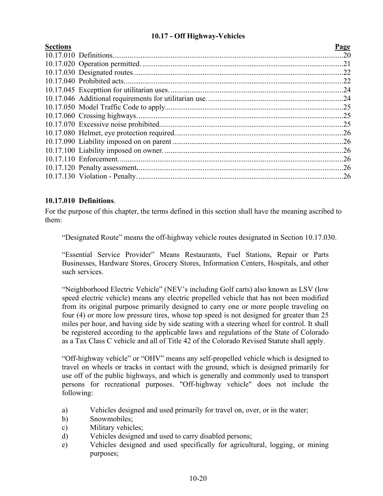# **10.17 - Off Highway-Vehicles**

<span id="page-19-0"></span>

| <b>Sections</b> | Page |
|-----------------|------|
|                 |      |
|                 |      |
|                 |      |
|                 |      |
|                 |      |
|                 |      |
|                 |      |
|                 |      |
|                 |      |
|                 |      |
|                 |      |
|                 |      |
|                 |      |
|                 |      |
|                 |      |
|                 |      |

# **10.17.010 Definitions**.

For the purpose of this chapter, the terms defined in this section shall have the meaning ascribed to them:

"Designated Route" means the off-highway vehicle routes designated in Section 10.17.030.

"Essential Service Provider" Means Restaurants, Fuel Stations, Repair or Parts Businesses, Hardware Stores, Grocery Stores, Information Centers, Hospitals, and other such services.

"Neighborhood Electric Vehicle" (NEV's including Golf carts) also known as LSV (low speed electric vehicle) means any electric propelled vehicle that has not been modified from its original purpose primarily designed to carry one or more people traveling on four (4) or more low pressure tires, whose top speed is not designed for greater than 25 miles per hour, and having side by side seating with a steering wheel for control. It shall be registered according to the applicable laws and regulations of the State of Colorado as a Tax Class C vehicle and all of Title 42 of the Colorado Revised Statute shall apply.

"Off-highway vehicle" or "OHV" means any self-propelled vehicle which is designed to travel on wheels or tracks in contact with the ground, which is designed primarily for use off of the public highways, and which is generally and commonly used to transport persons for recreational purposes. "Off-highway vehicle" does not include the following:

- a) Vehicles designed and used primarily for travel on, over, or in the water;
- b) Snowmobiles;
- c) Military vehicles;
- d) Vehicles designed and used to carry disabled persons;
- e) Vehicles designed and used specifically for agricultural, logging, or mining purposes;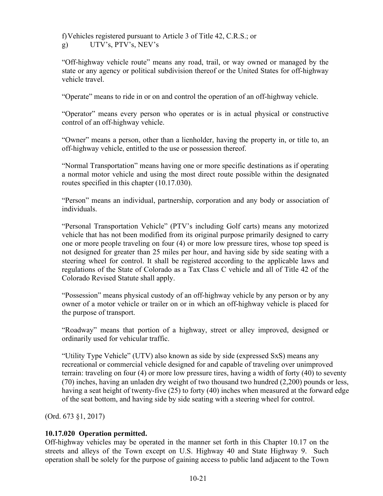f)Vehicles registered pursuant to Article 3 of Title 42, C.R.S.; or

g) UTV's, PTV's, NEV's

"Off-highway vehicle route" means any road, trail, or way owned or managed by the state or any agency or political subdivision thereof or the United States for off-highway vehicle travel.

"Operate" means to ride in or on and control the operation of an off-highway vehicle.

"Operator" means every person who operates or is in actual physical or constructive control of an off-highway vehicle.

"Owner" means a person, other than a lienholder, having the property in, or title to, an off-highway vehicle, entitled to the use or possession thereof.

"Normal Transportation" means having one or more specific destinations as if operating a normal motor vehicle and using the most direct route possible within the designated routes specified in this chapter (10.17.030).

"Person" means an individual, partnership, corporation and any body or association of individuals.

"Personal Transportation Vehicle" (PTV's including Golf carts) means any motorized vehicle that has not been modified from its original purpose primarily designed to carry one or more people traveling on four (4) or more low pressure tires, whose top speed is not designed for greater than 25 miles per hour, and having side by side seating with a steering wheel for control. It shall be registered according to the applicable laws and regulations of the State of Colorado as a Tax Class C vehicle and all of Title 42 of the Colorado Revised Statute shall apply.

"Possession" means physical custody of an off-highway vehicle by any person or by any owner of a motor vehicle or trailer on or in which an off-highway vehicle is placed for the purpose of transport.

"Roadway" means that portion of a highway, street or alley improved, designed or ordinarily used for vehicular traffic.

"Utility Type Vehicle" (UTV) also known as side by side (expressed SxS) means any recreational or commercial vehicle designed for and capable of traveling over unimproved terrain: traveling on four (4) or more low pressure tires, having a width of forty (40) to seventy (70) inches, having an unladen dry weight of two thousand two hundred (2,200) pounds or less, having a seat height of twenty-five (25) to forty (40) inches when measured at the forward edge of the seat bottom, and having side by side seating with a steering wheel for control.

(Ord. 673 §1, 2017)

# **10.17.020 Operation permitted.**

Off-highway vehicles may be operated in the manner set forth in this Chapter 10.17 on the streets and alleys of the Town except on U.S. Highway 40 and State Highway 9. Such operation shall be solely for the purpose of gaining access to public land adjacent to the Town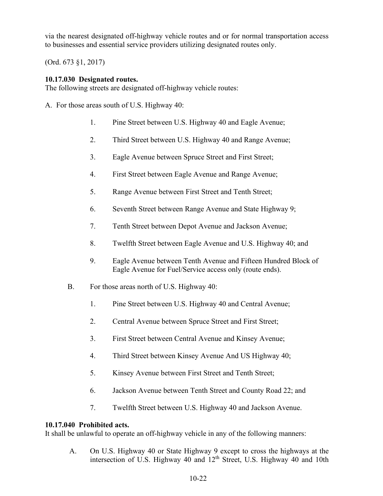via the nearest designated off-highway vehicle routes and or for normal transportation access to businesses and essential service providers utilizing designated routes only.

(Ord. 673 §1, 2017)

# **10.17.030 Designated routes.**

The following streets are designated off-highway vehicle routes:

A. For those areas south of U.S. Highway 40:

- 1. Pine Street between U.S. Highway 40 and Eagle Avenue;
- 2. Third Street between U.S. Highway 40 and Range Avenue;
- 3. Eagle Avenue between Spruce Street and First Street;
- 4. First Street between Eagle Avenue and Range Avenue;
- 5. Range Avenue between First Street and Tenth Street;
- 6. Seventh Street between Range Avenue and State Highway 9;
- 7. Tenth Street between Depot Avenue and Jackson Avenue;
- 8. Twelfth Street between Eagle Avenue and U.S. Highway 40; and
- 9. Eagle Avenue between Tenth Avenue and Fifteen Hundred Block of Eagle Avenue for Fuel/Service access only (route ends).
- B. For those areas north of U.S. Highway 40:
	- 1. Pine Street between U.S. Highway 40 and Central Avenue;
	- 2. Central Avenue between Spruce Street and First Street;
	- 3. First Street between Central Avenue and Kinsey Avenue;
	- 4. Third Street between Kinsey Avenue And US Highway 40;
	- 5. Kinsey Avenue between First Street and Tenth Street;
	- 6. Jackson Avenue between Tenth Street and County Road 22; and
	- 7. Twelfth Street between U.S. Highway 40 and Jackson Avenue.

# **10.17.040 Prohibited acts.**

It shall be unlawful to operate an off-highway vehicle in any of the following manners:

A. On U.S. Highway 40 or State Highway 9 except to cross the highways at the intersection of U.S. Highway 40 and 12<sup>th</sup> Street, U.S. Highway 40 and 10th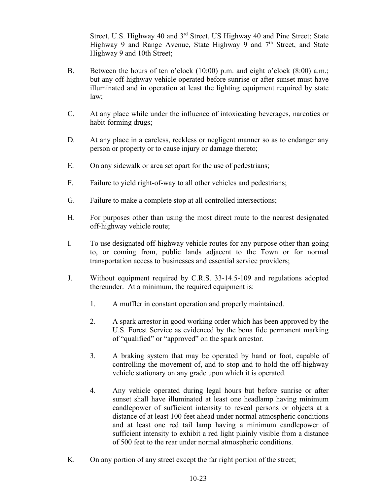Street, U.S. Highway 40 and 3<sup>rd</sup> Street, US Highway 40 and Pine Street; State Highway 9 and Range Avenue, State Highway 9 and  $7<sup>th</sup>$  Street, and State Highway 9 and 10th Street;

- B. Between the hours of ten o'clock (10:00) p.m. and eight o'clock (8:00) a.m.; but any off-highway vehicle operated before sunrise or after sunset must have illuminated and in operation at least the lighting equipment required by state law;
- C. At any place while under the influence of intoxicating beverages, narcotics or habit-forming drugs;
- D. At any place in a careless, reckless or negligent manner so as to endanger any person or property or to cause injury or damage thereto;
- E. On any sidewalk or area set apart for the use of pedestrians;
- F. Failure to yield right-of-way to all other vehicles and pedestrians;
- G. Failure to make a complete stop at all controlled intersections;
- H. For purposes other than using the most direct route to the nearest designated off-highway vehicle route;
- I. To use designated off-highway vehicle routes for any purpose other than going to, or coming from, public lands adjacent to the Town or for normal transportation access to businesses and essential service providers;
- J. Without equipment required by C.R.S. 33-14.5-109 and regulations adopted thereunder. At a minimum, the required equipment is:
	- 1. A muffler in constant operation and properly maintained.
	- 2. A spark arrestor in good working order which has been approved by the U.S. Forest Service as evidenced by the bona fide permanent marking of "qualified" or "approved" on the spark arrestor.
	- 3. A braking system that may be operated by hand or foot, capable of controlling the movement of, and to stop and to hold the off-highway vehicle stationary on any grade upon which it is operated.
	- 4. Any vehicle operated during legal hours but before sunrise or after sunset shall have illuminated at least one headlamp having minimum candlepower of sufficient intensity to reveal persons or objects at a distance of at least 100 feet ahead under normal atmospheric conditions and at least one red tail lamp having a minimum candlepower of sufficient intensity to exhibit a red light plainly visible from a distance of 500 feet to the rear under normal atmospheric conditions.
- K. On any portion of any street except the far right portion of the street;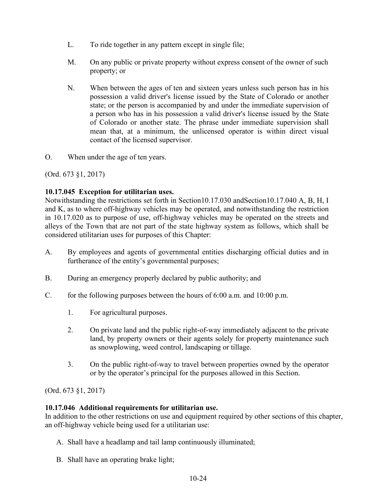- L. To ride together in any pattern except in single file;
- M. On any public or private property without express consent of the owner of such property; or
- N. When between the ages of ten and sixteen years unless such person has in his possession a valid driver's license issued by the State of Colorado or another state; or the person is accompanied by and under the immediate supervision of a person who has in his possession a valid driver's license issued by the State of Colorado or another state. The phrase under immediate supervision shall mean that, at a minimum, the unlicensed operator is within direct visual contact of the licensed supervisor.

O. When under the age of ten years.

(Ord. 673 §1, 2017)

# **10.17.045 Exception for utilitarian uses.**

Notwithstanding the restrictions set forth in Section10.17.030 andSection10.17.040 A, B, H, I and K, as to where off-highway vehicles may be operated, and notwithstanding the restriction in 10.17.020 as to purpose of use, off-highway vehicles may be operated on the streets and alleys of the Town that are not part of the state highway system as follows, which shall be considered utilitarian uses for purposes of this Chapter:

- A. By employees and agents of governmental entities discharging official duties and in furtherance of the entity's governmental purposes;
- B. During an emergency properly declared by public authority; and
- C. for the following purposes between the hours of 6:00 a.m. and 10:00 p.m.
	- 1. For agricultural purposes.
	- 2. On private land and the public right-of-way immediately adjacent to the private land, by property owners or their agents solely for property maintenance such as snowplowing, weed control, landscaping or tillage.
	- 3. On the public right-of-way to travel between properties owned by the operator or by the operator's principal for the purposes allowed in this Section.

(Ord. 673 §1, 2017)

## **10.17.046 Additional requirements for utilitarian use.**

In addition to the other restrictions on use and equipment required by other sections of this chapter, an off-highway vehicle being used for a utilitarian use:

- A. Shall have a headlamp and tail lamp continuously illuminated;
- B. Shall have an operating brake light;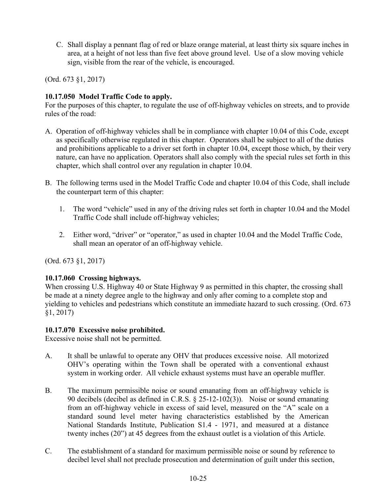C. Shall display a pennant flag of red or blaze orange material, at least thirty six square inches in area, at a height of not less than five feet above ground level. Use of a slow moving vehicle sign, visible from the rear of the vehicle, is encouraged.

(Ord. 673 §1, 2017)

# **10.17.050 Model Traffic Code to apply.**

For the purposes of this chapter, to regulate the use of off-highway vehicles on streets, and to provide rules of the road:

- A. Operation of off-highway vehicles shall be in compliance with chapter 10.04 of this Code, except as specifically otherwise regulated in this chapter. Operators shall be subject to all of the duties and prohibitions applicable to a driver set forth in chapter 10.04, except those which, by their very nature, can have no application. Operators shall also comply with the special rules set forth in this chapter, which shall control over any regulation in chapter 10.04.
- B. The following terms used in the Model Traffic Code and chapter 10.04 of this Code, shall include the counterpart term of this chapter:
	- 1. The word "vehicle" used in any of the driving rules set forth in chapter 10.04 and the Model Traffic Code shall include off-highway vehicles;
	- 2. Either word, "driver" or "operator," as used in chapter 10.04 and the Model Traffic Code, shall mean an operator of an off-highway vehicle.

(Ord. 673 §1, 2017)

# **10.17.060 Crossing highways.**

When crossing U.S. Highway 40 or State Highway 9 as permitted in this chapter, the crossing shall be made at a ninety degree angle to the highway and only after coming to a complete stop and yielding to vehicles and pedestrians which constitute an immediate hazard to such crossing. (Ord. 673 §1, 2017)

# **10.17.070 Excessive noise prohibited.**

Excessive noise shall not be permitted.

- A. It shall be unlawful to operate any OHV that produces excessive noise. All motorized OHV's operating within the Town shall be operated with a conventional exhaust system in working order. All vehicle exhaust systems must have an operable muffler.
- B. The maximum permissible noise or sound emanating from an off-highway vehicle is 90 decibels (decibel as defined in C.R.S. § 25-12-102(3)). Noise or sound emanating from an off-highway vehicle in excess of said level, measured on the "A" scale on a standard sound level meter having characteristics established by the American National Standards Institute, Publication S1.4 - 1971, and measured at a distance twenty inches (20") at 45 degrees from the exhaust outlet is a violation of this Article.
- C. The establishment of a standard for maximum permissible noise or sound by reference to decibel level shall not preclude prosecution and determination of guilt under this section,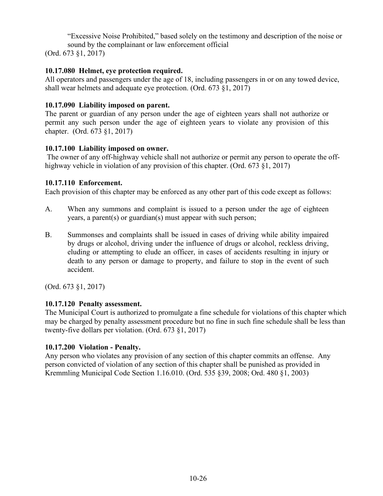"Excessive Noise Prohibited," based solely on the testimony and description of the noise or sound by the complainant or law enforcement official

(Ord. 673 §1, 2017)

# **10.17.080 Helmet, eye protection required.**

All operators and passengers under the age of 18, including passengers in or on any towed device, shall wear helmets and adequate eye protection. (Ord. 673 §1, 2017)

# **10.17.090 Liability imposed on parent.**

The parent or guardian of any person under the age of eighteen years shall not authorize or permit any such person under the age of eighteen years to violate any provision of this chapter. (Ord. 673 §1, 2017)

# **10.17.100 Liability imposed on owner.**

The owner of any off-highway vehicle shall not authorize or permit any person to operate the offhighway vehicle in violation of any provision of this chapter. (Ord. 673 §1, 2017)

# **10.17.110 Enforcement.**

Each provision of this chapter may be enforced as any other part of this code except as follows:

- A. When any summons and complaint is issued to a person under the age of eighteen years, a parent(s) or guardian(s) must appear with such person;
- B. Summonses and complaints shall be issued in cases of driving while ability impaired by drugs or alcohol, driving under the influence of drugs or alcohol, reckless driving, eluding or attempting to elude an officer, in cases of accidents resulting in injury or death to any person or damage to property, and failure to stop in the event of such accident.

(Ord. 673 §1, 2017)

# **10.17.120 Penalty assessment.**

The Municipal Court is authorized to promulgate a fine schedule for violations of this chapter which may be charged by penalty assessment procedure but no fine in such fine schedule shall be less than twenty-five dollars per violation. (Ord. 673 §1, 2017)

# **10.17.200 Violation - Penalty.**

Any person who violates any provision of any section of this chapter commits an offense. Any person convicted of violation of any section of this chapter shall be punished as provided in Kremmling Municipal Code Section 1.16.010. (Ord. 535 §39, 2008; Ord. 480 §1, 2003)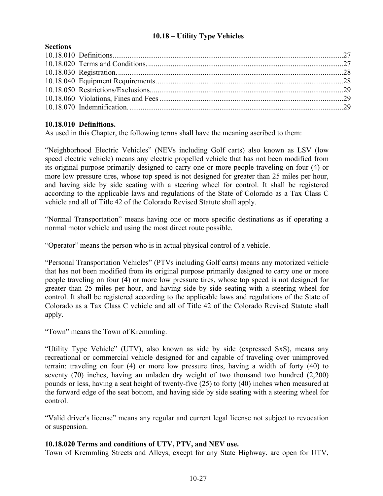# **10.18 – Utility Type Vehicles**

## <span id="page-26-0"></span>**Sections**

# **10.18.010 Definitions.**

As used in this Chapter, the following terms shall have the meaning ascribed to them:

"Neighborhood Electric Vehicles" (NEVs including Golf carts) also known as LSV (low speed electric vehicle) means any electric propelled vehicle that has not been modified from its original purpose primarily designed to carry one or more people traveling on four (4) or more low pressure tires, whose top speed is not designed for greater than 25 miles per hour, and having side by side seating with a steering wheel for control. It shall be registered according to the applicable laws and regulations of the State of Colorado as a Tax Class C vehicle and all of Title 42 of the Colorado Revised Statute shall apply.

"Normal Transportation" means having one or more specific destinations as if operating a normal motor vehicle and using the most direct route possible.

"Operator" means the person who is in actual physical control of a vehicle.

"Personal Transportation Vehicles" (PTVs including Golf carts) means any motorized vehicle that has not been modified from its original purpose primarily designed to carry one or more people traveling on four (4) or more low pressure tires, whose top speed is not designed for greater than 25 miles per hour, and having side by side seating with a steering wheel for control. It shall be registered according to the applicable laws and regulations of the State of Colorado as a Tax Class C vehicle and all of Title 42 of the Colorado Revised Statute shall apply.

"Town" means the Town of Kremmling.

"Utility Type Vehicle" (UTV), also known as side by side (expressed SxS), means any recreational or commercial vehicle designed for and capable of traveling over unimproved terrain: traveling on four (4) or more low pressure tires, having a width of forty (40) to seventy (70) inches, having an unladen dry weight of two thousand two hundred (2,200) pounds or less, having a seat height of twenty-five (25) to forty (40) inches when measured at the forward edge of the seat bottom, and having side by side seating with a steering wheel for control.

"Valid driver's license" means any regular and current legal license not subject to revocation or suspension.

## **10.18.020 Terms and conditions of UTV, PTV, and NEV use.**

Town of Kremmling Streets and Alleys, except for any State Highway, are open for UTV,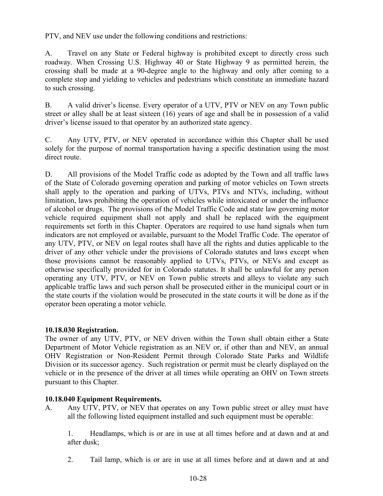PTV, and NEV use under the following conditions and restrictions:

A. Travel on any State or Federal highway is prohibited except to directly cross such roadway. When Crossing U.S. Highway 40 or State Highway 9 as permitted herein, the crossing shall be made at a 90-degree angle to the highway and only after coming to a complete stop and yielding to vehicles and pedestrians which constitute an immediate hazard to such crossing.

B. A valid driver's license. Every operator of a UTV, PTV or NEV on any Town public street or alley shall be at least sixteen (16) years of age and shall be in possession of a valid driver's license issued to that operator by an authorized state agency.

C. Any UTV, PTV, or NEV operated in accordance within this Chapter shall be used solely for the purpose of normal transportation having a specific destination using the most direct route.

D. All provisions of the Model Traffic code as adopted by the Town and all traffic laws of the State of Colorado governing operation and parking of motor vehicles on Town streets shall apply to the operation and parking of UTVs, PTVs and NTVs, including, without limitation, laws prohibiting the operation of vehicles while intoxicated or under the influence of alcohol or drugs. The provisions of the Model Traffic Code and state law governing motor vehicle required equipment shall not apply and shall be replaced with the equipment requirements set forth in this Chapter. Operators are required to use hand signals when turn indicators are not employed or available, pursuant to the Model Traffic Code. The operator of any UTV, PTV, or NEV on legal routes shall have all the rights and duties applicable to the driver of any other vehicle under the provisions of Colorado statutes and laws except when those provisions cannot be reasonably applied to UTVs, PTVs, or NEVs and except as otherwise specifically provided for in Colorado statutes. It shall be unlawful for any person operating any UTV, PTV, or NEV on Town public streets and alleys to violate any such applicable traffic laws and such person shall be prosecuted either in the municipal court or in the state courts if the violation would be prosecuted in the state courts it will be done as if the operator been operating a motor vehicle.

# **10.18.030 Registration.**

The owner of any UTV, PTV, or NEV driven within the Town shall obtain either a State Department of Motor Vehicle registration as an NEV or, if other than and NEV, an annual OHV Registration or Non-Resident Permit through Colorado State Parks and Wildlife Division or its successor agency. Such registration or permit must be clearly displayed on the vehicle or in the presence of the driver at all times while operating an OHV on Town streets pursuant to this Chapter.

## **10.18.040 Equipment Requirements.**

A. Any UTV, PTV, or NEV that operates on any Town public street or alley must have all the following listed equipment installed and such equipment must be operable:

1. Headlamps, which is or are in use at all times before and at dawn and at and after dusk;

2. Tail lamp, which is or are in use at all times before and at dawn and at and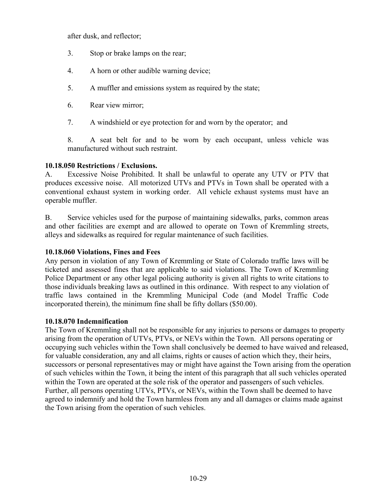after dusk, and reflector;

- 3. Stop or brake lamps on the rear;
- 4. A horn or other audible warning device;
- 5. A muffler and emissions system as required by the state;
- 6. Rear view mirror;
- 7. A windshield or eye protection for and worn by the operator; and

8. A seat belt for and to be worn by each occupant, unless vehicle was manufactured without such restraint.

## **10.18.050 Restrictions / Exclusions.**

A. Excessive Noise Prohibited. It shall be unlawful to operate any UTV or PTV that produces excessive noise. All motorized UTVs and PTVs in Town shall be operated with a conventional exhaust system in working order. All vehicle exhaust systems must have an operable muffler.

B. Service vehicles used for the purpose of maintaining sidewalks, parks, common areas and other facilities are exempt and are allowed to operate on Town of Kremmling streets, alleys and sidewalks as required for regular maintenance of such facilities.

# **10.18.060 Violations, Fines and Fees**

Any person in violation of any Town of Kremmling or State of Colorado traffic laws will be ticketed and assessed fines that are applicable to said violations. The Town of Kremmling Police Department or any other legal policing authority is given all rights to write citations to those individuals breaking laws as outlined in this ordinance. With respect to any violation of traffic laws contained in the Kremmling Municipal Code (and Model Traffic Code incorporated therein), the minimum fine shall be fifty dollars (\$50.00).

## **10.18.070 Indemnification**

The Town of Kremmling shall not be responsible for any injuries to persons or damages to property arising from the operation of UTVs, PTVs, or NEVs within the Town. All persons operating or occupying such vehicles within the Town shall conclusively be deemed to have waived and released, for valuable consideration, any and all claims, rights or causes of action which they, their heirs, successors or personal representatives may or might have against the Town arising from the operation of such vehicles within the Town, it being the intent of this paragraph that all such vehicles operated within the Town are operated at the sole risk of the operator and passengers of such vehicles. Further, all persons operating UTVs, PTVs, or NEVs, within the Town shall be deemed to have agreed to indemnify and hold the Town harmless from any and all damages or claims made against the Town arising from the operation of such vehicles.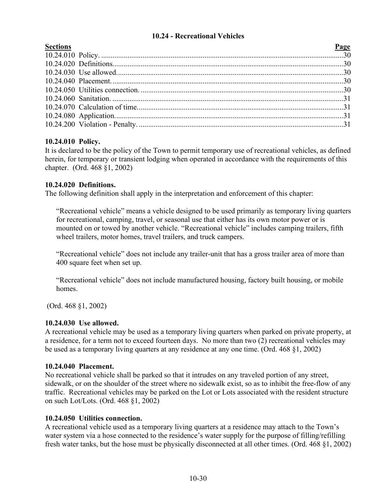# **10.24 - Recreational Vehicles**

<span id="page-29-0"></span>

# **10.24.010 Policy.**

It is declared to be the policy of the Town to permit temporary use of recreational vehicles, as defined herein, for temporary or transient lodging when operated in accordance with the requirements of this chapter. (Ord. 468 §1, 2002)

# **10.24.020 Definitions.**

The following definition shall apply in the interpretation and enforcement of this chapter:

"Recreational vehicle" means a vehicle designed to be used primarily as temporary living quarters for recreational, camping, travel, or seasonal use that either has its own motor power or is mounted on or towed by another vehicle. "Recreational vehicle" includes camping trailers, fifth wheel trailers, motor homes, travel trailers, and truck campers.

"Recreational vehicle" does not include any trailer-unit that has a gross trailer area of more than 400 square feet when set up.

"Recreational vehicle" does not include manufactured housing, factory built housing, or mobile homes.

(Ord. 468 §1, 2002)

# **10.24.030 Use allowed.**

A recreational vehicle may be used as a temporary living quarters when parked on private property, at a residence, for a term not to exceed fourteen days. No more than two (2) recreational vehicles may be used as a temporary living quarters at any residence at any one time. (Ord. 468 §1, 2002)

# **10.24.040 Placement.**

No recreational vehicle shall be parked so that it intrudes on any traveled portion of any street, sidewalk, or on the shoulder of the street where no sidewalk exist, so as to inhibit the free-flow of any traffic. Recreational vehicles may be parked on the Lot or Lots associated with the resident structure on such Lot/Lots. (Ord. 468 §1, 2002)

# **10.24.050 Utilities connection.**

A recreational vehicle used as a temporary living quarters at a residence may attach to the Town's water system via a hose connected to the residence's water supply for the purpose of filling/refilling fresh water tanks, but the hose must be physically disconnected at all other times. (Ord. 468 §1, 2002)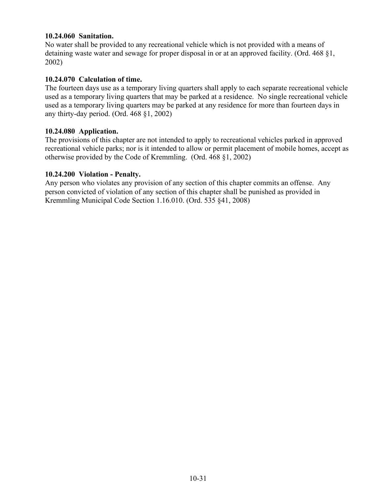# **10.24.060 Sanitation.**

No water shall be provided to any recreational vehicle which is not provided with a means of detaining waste water and sewage for proper disposal in or at an approved facility. (Ord. 468 §1, 2002)

## **10.24.070 Calculation of time.**

The fourteen days use as a temporary living quarters shall apply to each separate recreational vehicle used as a temporary living quarters that may be parked at a residence. No single recreational vehicle used as a temporary living quarters may be parked at any residence for more than fourteen days in any thirty-day period. (Ord. 468 §1, 2002)

## **10.24.080 Application.**

The provisions of this chapter are not intended to apply to recreational vehicles parked in approved recreational vehicle parks; nor is it intended to allow or permit placement of mobile homes, accept as otherwise provided by the Code of Kremmling. (Ord. 468 §1, 2002)

## **10.24.200 Violation - Penalty.**

Any person who violates any provision of any section of this chapter commits an offense. Any person convicted of violation of any section of this chapter shall be punished as provided in Kremmling Municipal Code Section 1.16.010. (Ord. 535 §41, 2008)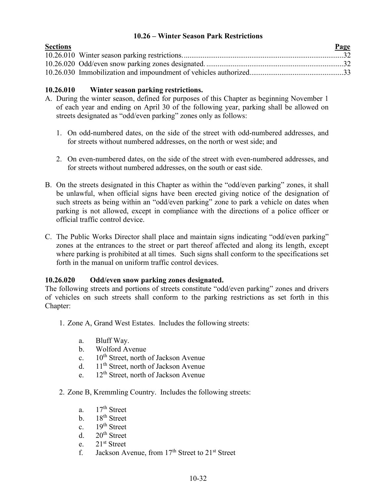# <span id="page-31-0"></span>**10.26 – Winter Season Park Restrictions**

| <b>Sections</b> | Page |
|-----------------|------|
|                 |      |
|                 |      |
|                 |      |

# **10.26.010 Winter season parking restrictions.**

- A. During the winter season, defined for purposes of this Chapter as beginning November 1 of each year and ending on April 30 of the following year, parking shall be allowed on streets designated as "odd/even parking" zones only as follows:
	- 1. On odd-numbered dates, on the side of the street with odd-numbered addresses, and for streets without numbered addresses, on the north or west side; and
	- 2. On even-numbered dates, on the side of the street with even-numbered addresses, and for streets without numbered addresses, on the south or east side.
- B. On the streets designated in this Chapter as within the "odd/even parking" zones, it shall be unlawful, when official signs have been erected giving notice of the designation of such streets as being within an "odd/even parking" zone to park a vehicle on dates when parking is not allowed, except in compliance with the directions of a police officer or official traffic control device.
- C. The Public Works Director shall place and maintain signs indicating "odd/even parking" zones at the entrances to the street or part thereof affected and along its length, except where parking is prohibited at all times. Such signs shall conform to the specifications set forth in the manual on uniform traffic control devices.

# **10.26.020 Odd/even snow parking zones designated.**

The following streets and portions of streets constitute "odd/even parking" zones and drivers of vehicles on such streets shall conform to the parking restrictions as set forth in this Chapter:

- 1. Zone A, Grand West Estates. Includes the following streets:
	- a. Bluff Way.
	- b. Wolford Avenue
	- c.  $10^{th}$  Street, north of Jackson Avenue
	- d. 11<sup>th</sup> Street, north of Jackson Avenue
	- e.  $12<sup>th</sup>$  Street, north of Jackson Avenue
- 2. Zone B, Kremmling Country. Includes the following streets:
	- a.  $17<sup>th</sup>$  Street
	- b.  $18<sup>th</sup>$  Street
	- c.  $19<sup>th</sup> Street$
	- d.  $20<sup>th</sup> Street$
	- e. 21st Street
	- f. Jackson Avenue, from  $17<sup>th</sup>$  Street to  $21<sup>st</sup>$  Street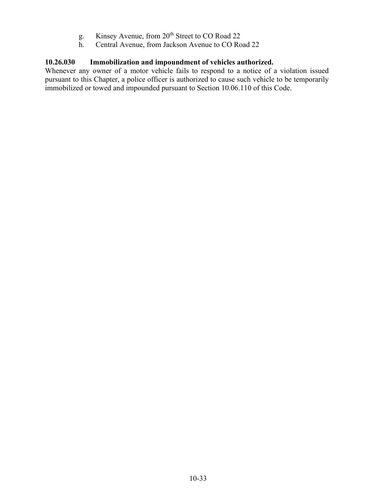- g. Kinsey Avenue, from 20<sup>th</sup> Street to CO Road 22
- h. Central Avenue, from Jackson Avenue to CO Road 22

# **10.26.030 Immobilization and impoundment of vehicles authorized.**

Whenever any owner of a motor vehicle fails to respond to a notice of a violation issued pursuant to this Chapter, a police officer is authorized to cause such vehicle to be temporarily immobilized or towed and impounded pursuant to Section 10.06.110 of this Code.